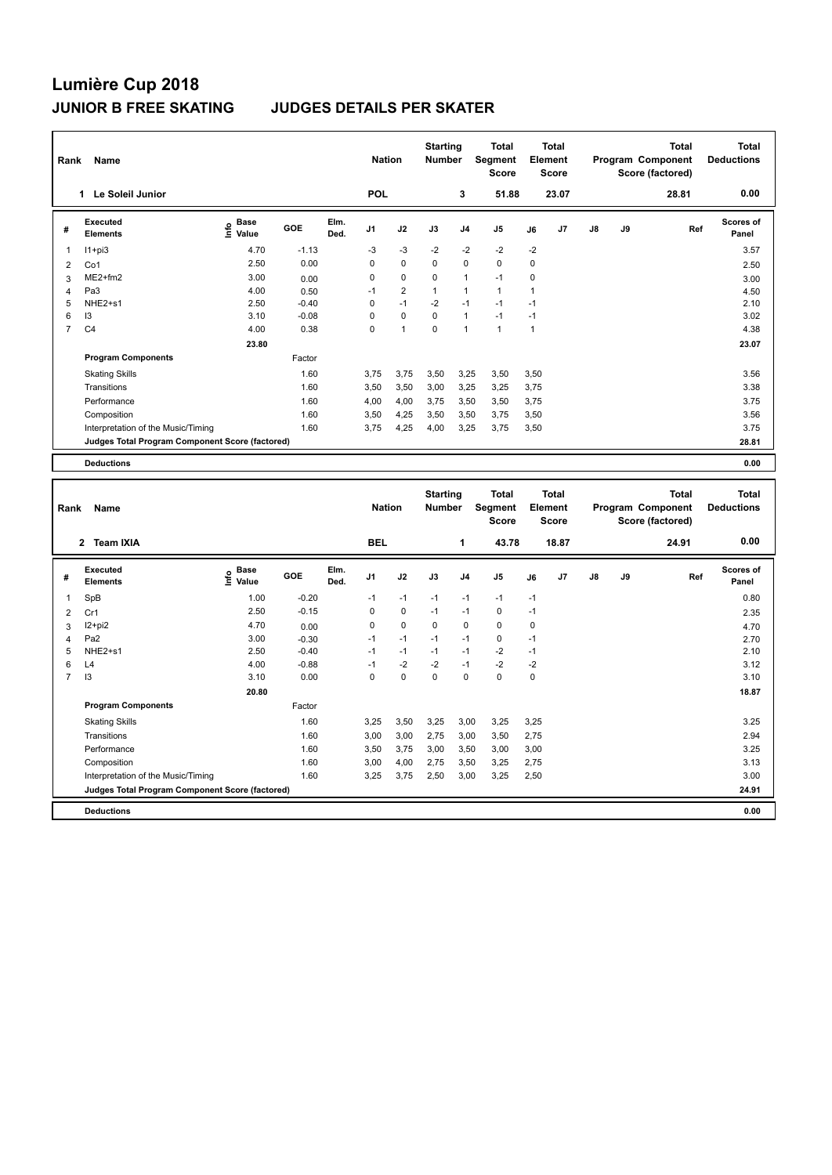## **Lumière Cup 2018**

## **JUNIOR B FREE SKATING JUDGES DETAILS PER SKATER**

| Rank           | Name                                            |                           |         |              |                |                | <b>Starting</b><br><b>Number</b> |                | <b>Total</b><br>Segment<br><b>Score</b> | <b>Total</b><br>Element<br><b>Score</b> |       |               |    | <b>Total</b><br>Program Component<br>Score (factored) | <b>Total</b><br><b>Deductions</b> |
|----------------|-------------------------------------------------|---------------------------|---------|--------------|----------------|----------------|----------------------------------|----------------|-----------------------------------------|-----------------------------------------|-------|---------------|----|-------------------------------------------------------|-----------------------------------|
|                | Le Soleil Junior<br>1                           |                           |         |              | <b>POL</b>     |                |                                  | 3              | 51.88                                   |                                         | 23.07 |               |    | 28.81                                                 | 0.00                              |
| #              | Executed<br><b>Elements</b>                     | Base<br>e Base<br>⊆ Value | GOE     | Elm.<br>Ded. | J <sub>1</sub> | J2             | J3                               | J <sub>4</sub> | J <sub>5</sub>                          | J6                                      | J7    | $\mathsf{J}8$ | J9 | Ref                                                   | <b>Scores of</b><br>Panel         |
| 1              | $11 + pi3$                                      | 4.70                      | $-1.13$ |              | $-3$           | $-3$           | $-2$                             | $-2$           | $-2$                                    | $-2$                                    |       |               |    |                                                       | 3.57                              |
| $\overline{2}$ | Co1                                             | 2.50                      | 0.00    |              | 0              | $\mathbf 0$    | $\Omega$                         | $\mathbf 0$    | $\mathbf 0$                             | $\mathbf 0$                             |       |               |    |                                                       | 2.50                              |
| 3              | $ME2+fm2$                                       | 3.00                      | 0.00    |              | 0              | $\mathbf 0$    | 0                                | $\mathbf{1}$   | $-1$                                    | 0                                       |       |               |    |                                                       | 3.00                              |
| 4              | Pa <sub>3</sub>                                 | 4.00                      | 0.50    |              | $-1$           | $\overline{2}$ | $\overline{1}$                   | 1              | $\mathbf{1}$                            | -1                                      |       |               |    |                                                       | 4.50                              |
| 5              | NHE <sub>2+s1</sub>                             | 2.50                      | $-0.40$ |              | 0              | $-1$           | $-2$                             | $-1$           | $-1$                                    | $-1$                                    |       |               |    |                                                       | 2.10                              |
| 6              | 13                                              | 3.10                      | $-0.08$ |              | 0              | $\mathbf 0$    | 0                                | $\overline{1}$ | $-1$                                    | $-1$                                    |       |               |    |                                                       | 3.02                              |
| $\overline{7}$ | C <sub>4</sub>                                  | 4.00                      | 0.38    |              | 0              | $\overline{1}$ | $\mathbf 0$                      | $\overline{1}$ | $\mathbf{1}$                            | -1                                      |       |               |    |                                                       | 4.38                              |
|                |                                                 | 23.80                     |         |              |                |                |                                  |                |                                         |                                         |       |               |    |                                                       | 23.07                             |
|                | <b>Program Components</b>                       |                           | Factor  |              |                |                |                                  |                |                                         |                                         |       |               |    |                                                       |                                   |
|                | <b>Skating Skills</b>                           |                           | 1.60    |              | 3.75           | 3.75           | 3,50                             | 3.25           | 3,50                                    | 3,50                                    |       |               |    |                                                       | 3.56                              |
|                | Transitions                                     |                           | 1.60    |              | 3,50           | 3,50           | 3,00                             | 3,25           | 3,25                                    | 3,75                                    |       |               |    |                                                       | 3.38                              |
|                | Performance                                     |                           | 1.60    |              | 4,00           | 4,00           | 3.75                             | 3.50           | 3,50                                    | 3,75                                    |       |               |    |                                                       | 3.75                              |
|                | Composition                                     |                           | 1.60    |              | 3.50           | 4,25           | 3,50                             | 3,50           | 3,75                                    | 3,50                                    |       |               |    |                                                       | 3.56                              |
|                | Interpretation of the Music/Timing              |                           | 1.60    |              | 3,75           | 4,25           | 4,00                             | 3,25           | 3,75                                    | 3,50                                    |       |               |    |                                                       | 3.75                              |
|                | Judges Total Program Component Score (factored) |                           |         |              |                |                |                                  |                |                                         |                                         |       |               |    |                                                       | 28.81                             |
|                | <b>Deductions</b>                               |                           |         |              |                |                |                                  |                |                                         |                                         |       |               |    |                                                       | 0.00                              |

| Name<br>Rank   |                                                 |                   |         |              |                | <b>Nation</b> |          | <b>Starting</b><br><b>Number</b> | <b>Total</b><br>Segment<br><b>Score</b> | <b>Total</b><br>Element<br><b>Score</b> |       |               |    | <b>Total</b><br>Program Component<br>Score (factored) | <b>Total</b><br><b>Deductions</b> |
|----------------|-------------------------------------------------|-------------------|---------|--------------|----------------|---------------|----------|----------------------------------|-----------------------------------------|-----------------------------------------|-------|---------------|----|-------------------------------------------------------|-----------------------------------|
|                | <b>Team IXIA</b><br>$\overline{2}$              |                   |         |              | <b>BEL</b>     |               |          | 1                                | 43.78                                   |                                         | 18.87 |               |    | 24.91                                                 | 0.00                              |
| #              | Executed<br><b>Elements</b>                     | e Base<br>⊑ Value | GOE     | Elm.<br>Ded. | J <sub>1</sub> | J2            | J3       | J <sub>4</sub>                   | J <sub>5</sub>                          | J6                                      | J7    | $\mathsf{J}8$ | J9 | Ref                                                   | <b>Scores of</b><br>Panel         |
| 1              | SpB                                             | 1.00              | $-0.20$ |              | $-1$           | $-1$          | $-1$     | $-1$                             | $-1$                                    | $-1$                                    |       |               |    |                                                       | 0.80                              |
| $\overline{2}$ | Cr1                                             | 2.50              | $-0.15$ |              | 0              | $\mathbf 0$   | $-1$     | $-1$                             | 0                                       | $-1$                                    |       |               |    |                                                       | 2.35                              |
| 3              | I2+pi2                                          | 4.70              | 0.00    |              | 0              | $\pmb{0}$     | 0        | 0                                | 0                                       | 0                                       |       |               |    |                                                       | 4.70                              |
| 4              | Pa <sub>2</sub>                                 | 3.00              | $-0.30$ |              | $-1$           | $-1$          | $-1$     | $-1$                             | 0                                       | $-1$                                    |       |               |    |                                                       | 2.70                              |
| 5              | NHE2+s1                                         | 2.50              | $-0.40$ |              | $-1$           | $-1$          | $-1$     | $-1$                             | $-2$                                    | $-1$                                    |       |               |    |                                                       | 2.10                              |
| 6              | L4                                              | 4.00              | $-0.88$ |              | $-1$           | $-2$          | $-2$     | $-1$                             | $-2$                                    | $-2$                                    |       |               |    |                                                       | 3.12                              |
| $\overline{7}$ | 13                                              | 3.10              | 0.00    |              | $\Omega$       | $\mathbf 0$   | $\Omega$ | $\Omega$                         | $\mathbf 0$                             | $\Omega$                                |       |               |    |                                                       | 3.10                              |
|                |                                                 | 20.80             |         |              |                |               |          |                                  |                                         |                                         |       |               |    |                                                       | 18.87                             |
|                | <b>Program Components</b>                       |                   | Factor  |              |                |               |          |                                  |                                         |                                         |       |               |    |                                                       |                                   |
|                | <b>Skating Skills</b>                           |                   | 1.60    |              | 3,25           | 3,50          | 3,25     | 3,00                             | 3,25                                    | 3,25                                    |       |               |    |                                                       | 3.25                              |
|                | Transitions                                     |                   | 1.60    |              | 3,00           | 3,00          | 2.75     | 3,00                             | 3,50                                    | 2.75                                    |       |               |    |                                                       | 2.94                              |
|                | Performance                                     |                   | 1.60    |              | 3,50           | 3,75          | 3,00     | 3,50                             | 3,00                                    | 3,00                                    |       |               |    |                                                       | 3.25                              |
|                | Composition                                     |                   | 1.60    |              | 3,00           | 4,00          | 2,75     | 3,50                             | 3,25                                    | 2,75                                    |       |               |    |                                                       | 3.13                              |
|                | Interpretation of the Music/Timing              |                   | 1.60    |              | 3,25           | 3,75          | 2,50     | 3,00                             | 3,25                                    | 2,50                                    |       |               |    |                                                       | 3.00                              |
|                | Judges Total Program Component Score (factored) |                   |         |              |                |               |          |                                  |                                         |                                         |       |               |    |                                                       | 24.91                             |
|                | <b>Deductions</b>                               |                   |         |              |                |               |          |                                  |                                         |                                         |       |               |    |                                                       | 0.00                              |